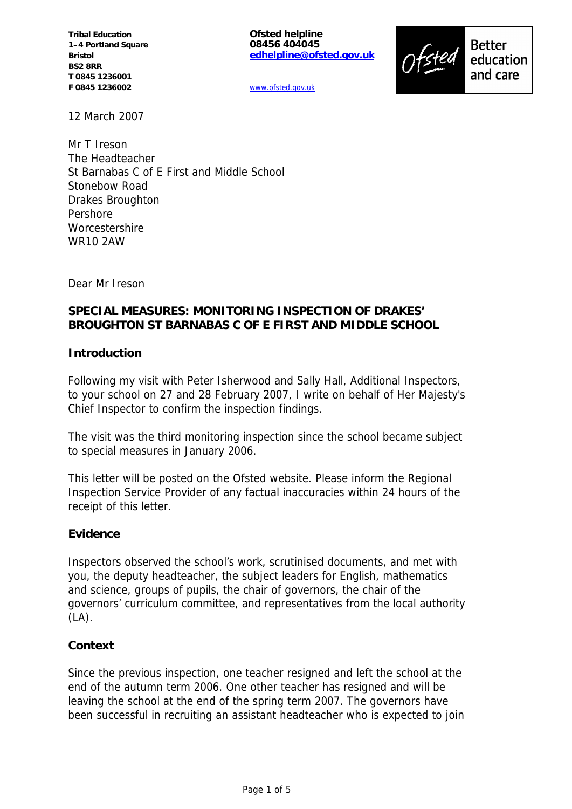**Tribal Education 1–4 Portland Square Bristol BS2 8RR T 0845 1236001 F 0845 1236002**

**Ofsted helpline 08456 404045 edhelpline@ofsted.gov.uk**

**Better** education and care

www.ofsted.gov.uk

12 March 2007

Mr T Ireson The Headteacher St Barnabas C of E First and Middle School Stonebow Road Drakes Broughton Pershore **Worcestershire** WR10 2AW

Dear Mr Ireson

## **SPECIAL MEASURES: MONITORING INSPECTION OF DRAKES' BROUGHTON ST BARNABAS C OF E FIRST AND MIDDLE SCHOOL**

### **Introduction**

Following my visit with Peter Isherwood and Sally Hall, Additional Inspectors, to your school on 27 and 28 February 2007, I write on behalf of Her Majesty's Chief Inspector to confirm the inspection findings.

The visit was the third monitoring inspection since the school became subject to special measures in January 2006.

This letter will be posted on the Ofsted website. Please inform the Regional Inspection Service Provider of any factual inaccuracies within 24 hours of the receipt of this letter.

### **Evidence**

Inspectors observed the school's work, scrutinised documents, and met with you, the deputy headteacher, the subject leaders for English, mathematics and science, groups of pupils, the chair of governors, the chair of the governors' curriculum committee, and representatives from the local authority  $(LA)$ .

#### **Context**

Since the previous inspection, one teacher resigned and left the school at the end of the autumn term 2006. One other teacher has resigned and will be leaving the school at the end of the spring term 2007. The governors have been successful in recruiting an assistant headteacher who is expected to join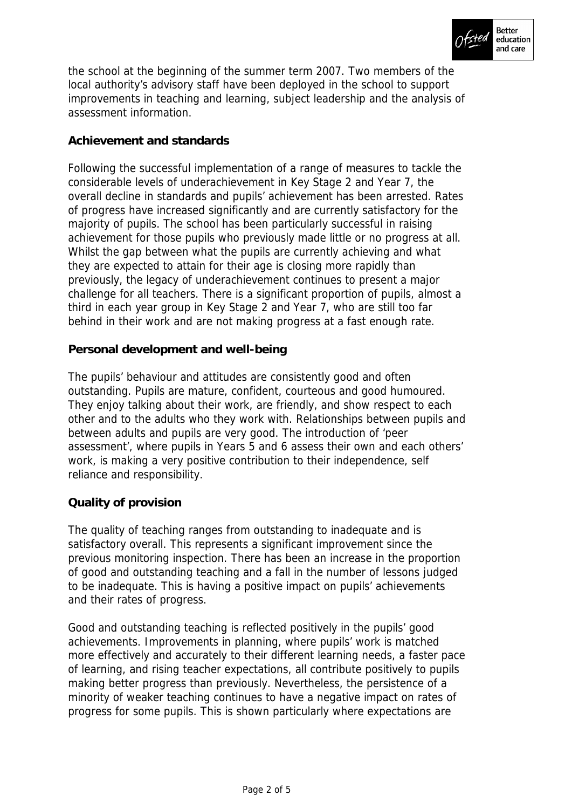

the school at the beginning of the summer term 2007. Two members of the local authority's advisory staff have been deployed in the school to support improvements in teaching and learning, subject leadership and the analysis of assessment information.

## **Achievement and standards**

Following the successful implementation of a range of measures to tackle the considerable levels of underachievement in Key Stage 2 and Year 7, the overall decline in standards and pupils' achievement has been arrested. Rates of progress have increased significantly and are currently satisfactory for the majority of pupils. The school has been particularly successful in raising achievement for those pupils who previously made little or no progress at all. Whilst the gap between what the pupils are currently achieving and what they are expected to attain for their age is closing more rapidly than previously, the legacy of underachievement continues to present a major challenge for all teachers. There is a significant proportion of pupils, almost a third in each year group in Key Stage 2 and Year 7, who are still too far behind in their work and are not making progress at a fast enough rate.

## **Personal development and well-being**

The pupils' behaviour and attitudes are consistently good and often outstanding. Pupils are mature, confident, courteous and good humoured. They enjoy talking about their work, are friendly, and show respect to each other and to the adults who they work with. Relationships between pupils and between adults and pupils are very good. The introduction of 'peer assessment', where pupils in Years 5 and 6 assess their own and each others' work, is making a very positive contribution to their independence, self reliance and responsibility.

### **Quality of provision**

The quality of teaching ranges from outstanding to inadequate and is satisfactory overall. This represents a significant improvement since the previous monitoring inspection. There has been an increase in the proportion of good and outstanding teaching and a fall in the number of lessons judged to be inadequate. This is having a positive impact on pupils' achievements and their rates of progress.

Good and outstanding teaching is reflected positively in the pupils' good achievements. Improvements in planning, where pupils' work is matched more effectively and accurately to their different learning needs, a faster pace of learning, and rising teacher expectations, all contribute positively to pupils making better progress than previously. Nevertheless, the persistence of a minority of weaker teaching continues to have a negative impact on rates of progress for some pupils. This is shown particularly where expectations are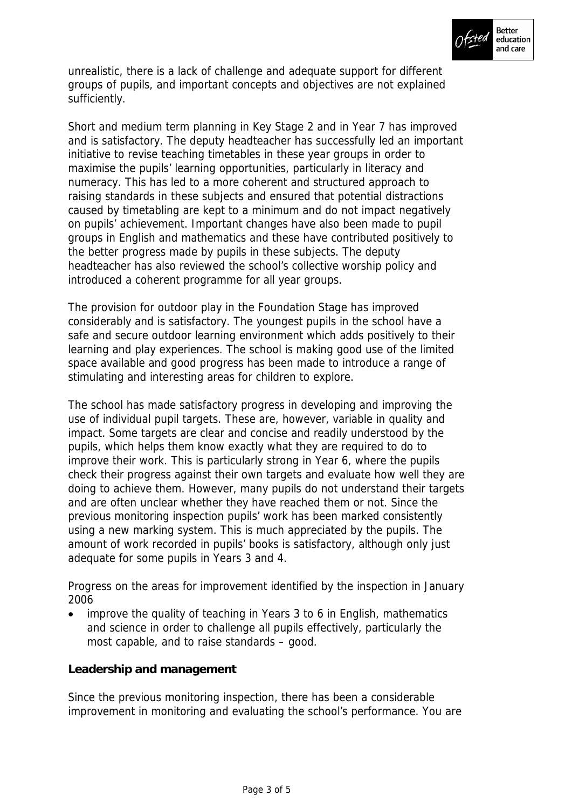

unrealistic, there is a lack of challenge and adequate support for different groups of pupils, and important concepts and objectives are not explained sufficiently.

Short and medium term planning in Key Stage 2 and in Year 7 has improved and is satisfactory. The deputy headteacher has successfully led an important initiative to revise teaching timetables in these year groups in order to maximise the pupils' learning opportunities, particularly in literacy and numeracy. This has led to a more coherent and structured approach to raising standards in these subjects and ensured that potential distractions caused by timetabling are kept to a minimum and do not impact negatively on pupils' achievement. Important changes have also been made to pupil groups in English and mathematics and these have contributed positively to the better progress made by pupils in these subjects. The deputy headteacher has also reviewed the school's collective worship policy and introduced a coherent programme for all year groups.

The provision for outdoor play in the Foundation Stage has improved considerably and is satisfactory. The youngest pupils in the school have a safe and secure outdoor learning environment which adds positively to their learning and play experiences. The school is making good use of the limited space available and good progress has been made to introduce a range of stimulating and interesting areas for children to explore.

The school has made satisfactory progress in developing and improving the use of individual pupil targets. These are, however, variable in quality and impact. Some targets are clear and concise and readily understood by the pupils, which helps them know exactly what they are required to do to improve their work. This is particularly strong in Year 6, where the pupils check their progress against their own targets and evaluate how well they are doing to achieve them. However, many pupils do not understand their targets and are often unclear whether they have reached them or not. Since the previous monitoring inspection pupils' work has been marked consistently using a new marking system. This is much appreciated by the pupils. The amount of work recorded in pupils' books is satisfactory, although only just adequate for some pupils in Years 3 and 4.

Progress on the areas for improvement identified by the inspection in January 2006

 improve the quality of teaching in Years 3 to 6 in English, mathematics and science in order to challenge all pupils effectively, particularly the most capable, and to raise standards – good.

**Leadership and management**

Since the previous monitoring inspection, there has been a considerable improvement in monitoring and evaluating the school's performance. You are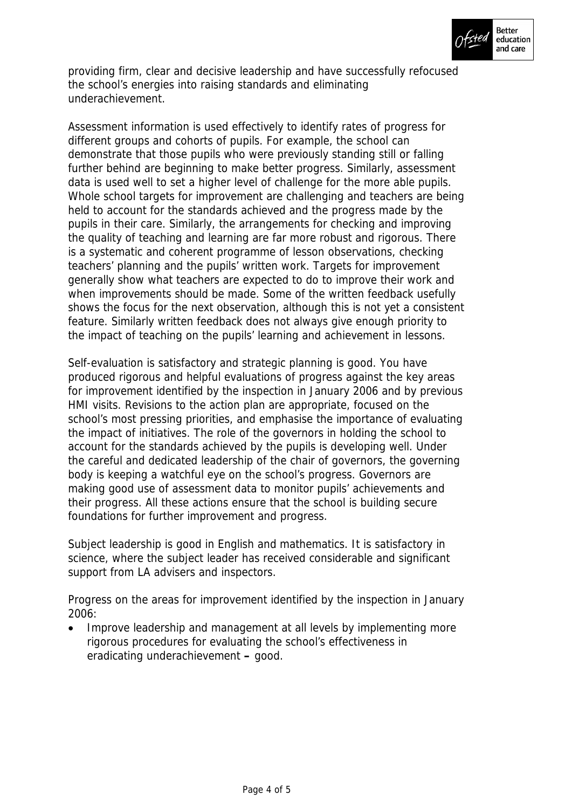

providing firm, clear and decisive leadership and have successfully refocused the school's energies into raising standards and eliminating underachievement.

Assessment information is used effectively to identify rates of progress for different groups and cohorts of pupils. For example, the school can demonstrate that those pupils who were previously standing still or falling further behind are beginning to make better progress. Similarly, assessment data is used well to set a higher level of challenge for the more able pupils. Whole school targets for improvement are challenging and teachers are being held to account for the standards achieved and the progress made by the pupils in their care. Similarly, the arrangements for checking and improving the quality of teaching and learning are far more robust and rigorous. There is a systematic and coherent programme of lesson observations, checking teachers' planning and the pupils' written work. Targets for improvement generally show what teachers are expected to do to improve their work and when improvements should be made. Some of the written feedback usefully shows the focus for the next observation, although this is not yet a consistent feature. Similarly written feedback does not always give enough priority to the impact of teaching on the pupils' learning and achievement in lessons.

Self-evaluation is satisfactory and strategic planning is good. You have produced rigorous and helpful evaluations of progress against the key areas for improvement identified by the inspection in January 2006 and by previous HMI visits. Revisions to the action plan are appropriate, focused on the school's most pressing priorities, and emphasise the importance of evaluating the impact of initiatives. The role of the governors in holding the school to account for the standards achieved by the pupils is developing well. Under the careful and dedicated leadership of the chair of governors, the governing body is keeping a watchful eye on the school's progress. Governors are making good use of assessment data to monitor pupils' achievements and their progress. All these actions ensure that the school is building secure foundations for further improvement and progress.

Subject leadership is good in English and mathematics. It is satisfactory in science, where the subject leader has received considerable and significant support from LA advisers and inspectors.

Progress on the areas for improvement identified by the inspection in January 2006:

 Improve leadership and management at all levels by implementing more rigorous procedures for evaluating the school's effectiveness in eradicating underachievement **–** good.